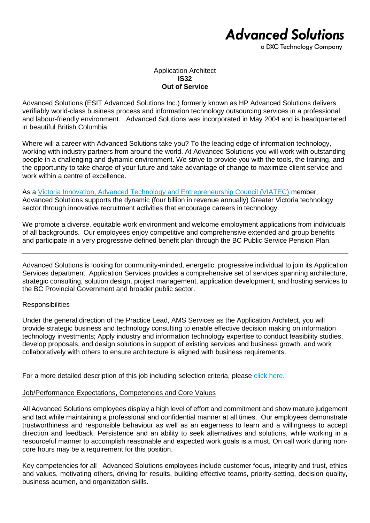# **Advanced Solutions**

a DXC Technology Company

### Application Architect **IS32 Out of Service**

Advanced Solutions (ESIT Advanced Solutions Inc.) formerly known as HP Advanced Solutions delivers verifiably world-class business process and information technology outsourcing services in a professional and labour-friendly environment. Advanced Solutions was incorporated in May 2004 and is headquartered in beautiful British Columbia.

Where will a career with Advanced Solutions take you? To the leading edge of information technology, working with industry partners from around the world. At Advanced Solutions you will work with outstanding people in a challenging and dynamic environment. We strive to provide you with the tools, the training, and the opportunity to take charge of your future and take advantage of change to maximize client service and work within a centre of excellence.

As a [Victoria Innovation, Advanced Technology and Entrepreneurship Council \(VIATEC\)](http://www.viatec.ca/) member, Advanced Solutions supports the dynamic (four billion in revenue annually) Greater Victoria technology sector through innovative recruitment activities that encourage careers in technology.

We promote a diverse, equitable work environment and welcome employment applications from individuals of all backgrounds. Our employees enjoy competitive and comprehensive extended and group benefits and participate in a very progressive defined benefit plan through the BC Public Service Pension Plan.

Advanced Solutions is looking for community-minded, energetic, progressive individual to join its Application Services department. Application Services provides a comprehensive set of services spanning architecture, strategic consulting, solution design, project management, application development, and hosting services to the BC Provincial Government and broader public sector.

### **Responsibilities**

Under the general direction of the Practice Lead, AMS Services as the Application Architect, you will provide strategic business and technology consulting to enable effective decision making on information technology investments; Apply industry and information technology expertise to conduct feasibility studies, develop proposals, and design solutions in support of existing services and business growth; and work collaboratively with others to ensure architecture is aligned with business requirements.

For a more detailed description of this job including selection criteria, please [click here.](https://www.dxcas.com/images/DXCAS/Careers/pdf/IS32_ApplicationArchitect_JD.pdf)

### Job/Performance Expectations, Competencies and Core Values

All Advanced Solutions employees display a high level of effort and commitment and show mature judgement and tact while maintaining a professional and confidential manner at all times. Our employees demonstrate trustworthiness and responsible behaviour as well as an eagerness to learn and a willingness to accept direction and feedback. Persistence and an ability to seek alternatives and solutions, while working in a resourceful manner to accomplish reasonable and expected work goals is a must. On call work during noncore hours may be a requirement for this position.

Key competencies for all Advanced Solutions employees include customer focus, integrity and trust, ethics and values, motivating others, driving for results, building effective teams, priority-setting, decision quality, business acumen, and organization skills.